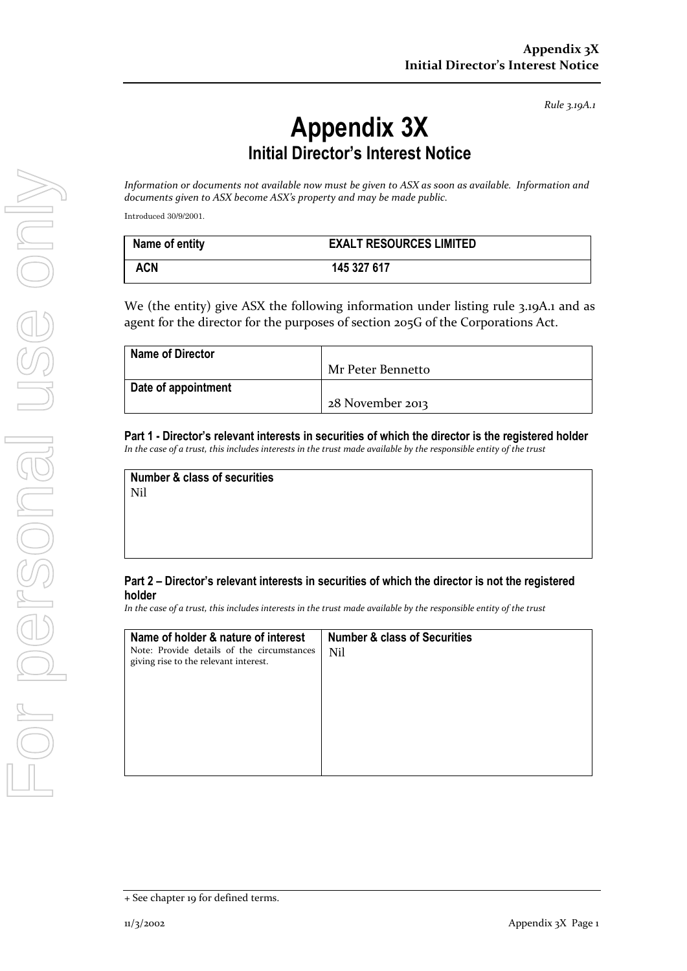*Rule 3.19A.1*

## **Appendix 3X Initial Director's Interest Notice**

*Information or documents not available now must be given to ASX as soon as available. Information and documents given to ASX become ASX's property and may be made public.*

Introduced 30/9/2001.

| Name of entity | <b>EXALT RESOURCES LIMITED</b> |
|----------------|--------------------------------|
| <b>ACN</b>     | 145 327 617                    |

We (the entity) give ASX the following information under listing rule 3.19A.1 and as agent for the director for the purposes of section 205G of the Corporations Act.

| <b>Name of Director</b> |                   |
|-------------------------|-------------------|
|                         | Mr Peter Bennetto |
| Date of appointment     |                   |
|                         | 28 November 2013  |

**Part 1 - Director's relevant interests in securities of which the director is the registered holder** *In the case of a trust, this includes interests in the trust made available by the responsible entity of the trust*

**Number & class of securities** Nil

## **Part 2 – Director's relevant interests in securities of which the director is not the registered holder**

*In the case of a trust, this includes interests in the trust made available by the responsible entity of the trust*

| Name of holder & nature of interest                                                 | <b>Number &amp; class of Securities</b> |
|-------------------------------------------------------------------------------------|-----------------------------------------|
| Note: Provide details of the circumstances<br>giving rise to the relevant interest. | <b>Nil</b>                              |
|                                                                                     |                                         |

<sup>+</sup> See chapter 19 for defined terms.